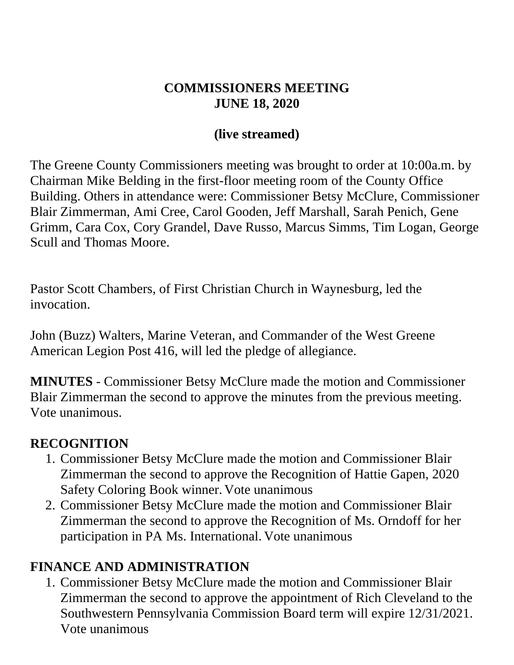#### **COMMISSIONERS MEETING JUNE 18, 2020**

#### **(live streamed)**

The Greene County Commissioners meeting was brought to order at 10:00a.m. by Chairman Mike Belding in the first-floor meeting room of the County Office Building. Others in attendance were: Commissioner Betsy McClure, Commissioner Blair Zimmerman, Ami Cree, Carol Gooden, Jeff Marshall, Sarah Penich, Gene Grimm, Cara Cox, Cory Grandel, Dave Russo, Marcus Simms, Tim Logan, George Scull and Thomas Moore.

Pastor Scott Chambers, of First Christian Church in Waynesburg, led the invocation.

John (Buzz) Walters, Marine Veteran, and Commander of the West Greene American Legion Post 416, will led the pledge of allegiance.

**MINUTES** - Commissioner Betsy McClure made the motion and Commissioner Blair Zimmerman the second to approve the minutes from the previous meeting. Vote unanimous.

#### **RECOGNITION**

- 1. Commissioner Betsy McClure made the motion and Commissioner Blair Zimmerman the second to approve the Recognition of Hattie Gapen, 2020 Safety Coloring Book winner. Vote unanimous
- 2. Commissioner Betsy McClure made the motion and Commissioner Blair Zimmerman the second to approve the Recognition of Ms. Orndoff for her participation in PA Ms. International. Vote unanimous

### **FINANCE AND ADMINISTRATION**

1. Commissioner Betsy McClure made the motion and Commissioner Blair Zimmerman the second to approve the appointment of Rich Cleveland to the Southwestern Pennsylvania Commission Board term will expire 12/31/2021. Vote unanimous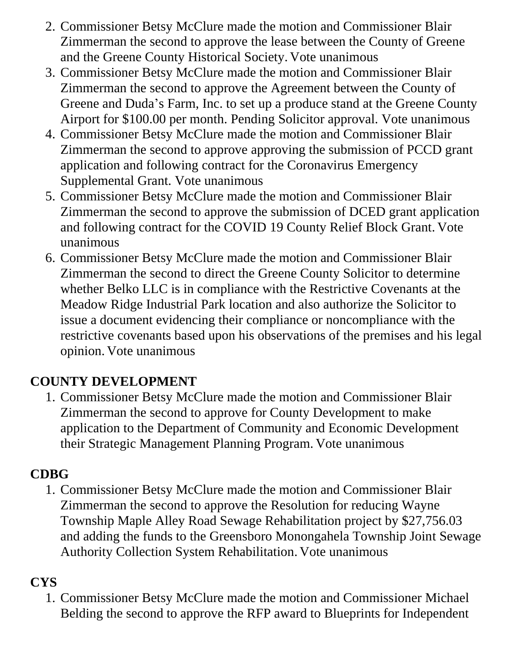- 2. Commissioner Betsy McClure made the motion and Commissioner Blair Zimmerman the second to approve the lease between the County of Greene and the Greene County Historical Society. Vote unanimous
- 3. Commissioner Betsy McClure made the motion and Commissioner Blair Zimmerman the second to approve the Agreement between the County of Greene and Duda's Farm, Inc. to set up a produce stand at the Greene County Airport for \$100.00 per month. Pending Solicitor approval. Vote unanimous
- 4. Commissioner Betsy McClure made the motion and Commissioner Blair Zimmerman the second to approve approving the submission of PCCD grant application and following contract for the Coronavirus Emergency Supplemental Grant. Vote unanimous
- 5. Commissioner Betsy McClure made the motion and Commissioner Blair Zimmerman the second to approve the submission of DCED grant application and following contract for the COVID 19 County Relief Block Grant. Vote unanimous
- 6. Commissioner Betsy McClure made the motion and Commissioner Blair Zimmerman the second to direct the Greene County Solicitor to determine whether Belko LLC is in compliance with the Restrictive Covenants at the Meadow Ridge Industrial Park location and also authorize the Solicitor to issue a document evidencing their compliance or noncompliance with the restrictive covenants based upon his observations of the premises and his legal opinion. Vote unanimous

# **COUNTY DEVELOPMENT**

1. Commissioner Betsy McClure made the motion and Commissioner Blair Zimmerman the second to approve for County Development to make application to the Department of Community and Economic Development their Strategic Management Planning Program. Vote unanimous

# **CDBG**

1. Commissioner Betsy McClure made the motion and Commissioner Blair Zimmerman the second to approve the Resolution for reducing Wayne Township Maple Alley Road Sewage Rehabilitation project by \$27,756.03 and adding the funds to the Greensboro Monongahela Township Joint Sewage Authority Collection System Rehabilitation. Vote unanimous

# **CYS**

1. Commissioner Betsy McClure made the motion and Commissioner Michael Belding the second to approve the RFP award to Blueprints for Independent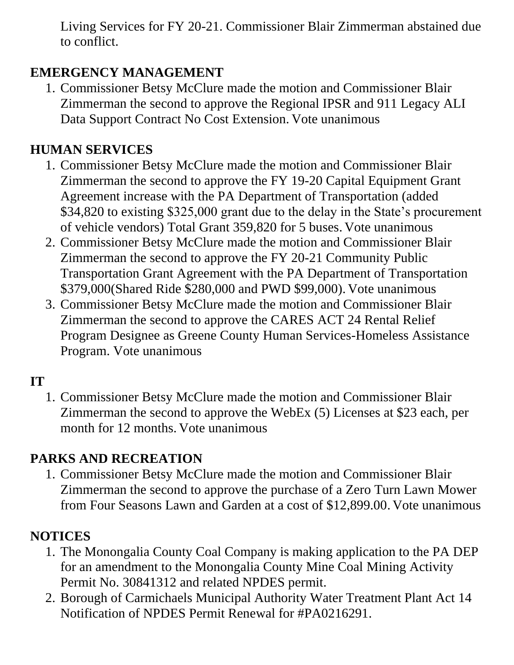Living Services for FY 20-21. Commissioner Blair Zimmerman abstained due to conflict.

# **EMERGENCY MANAGEMENT**

1. Commissioner Betsy McClure made the motion and Commissioner Blair Zimmerman the second to approve the Regional IPSR and 911 Legacy ALI Data Support Contract No Cost Extension. Vote unanimous

# **HUMAN SERVICES**

- 1. Commissioner Betsy McClure made the motion and Commissioner Blair Zimmerman the second to approve the FY 19-20 Capital Equipment Grant Agreement increase with the PA Department of Transportation (added \$34,820 to existing \$325,000 grant due to the delay in the State's procurement of vehicle vendors) Total Grant 359,820 for 5 buses. Vote unanimous
- 2. Commissioner Betsy McClure made the motion and Commissioner Blair Zimmerman the second to approve the FY 20-21 Community Public Transportation Grant Agreement with the PA Department of Transportation \$379,000(Shared Ride \$280,000 and PWD \$99,000). Vote unanimous
- 3. Commissioner Betsy McClure made the motion and Commissioner Blair Zimmerman the second to approve the CARES ACT 24 Rental Relief Program Designee as Greene County Human Services-Homeless Assistance Program. Vote unanimous

# **IT**

1. Commissioner Betsy McClure made the motion and Commissioner Blair Zimmerman the second to approve the WebEx (5) Licenses at \$23 each, per month for 12 months. Vote unanimous

### **PARKS AND RECREATION**

1. Commissioner Betsy McClure made the motion and Commissioner Blair Zimmerman the second to approve the purchase of a Zero Turn Lawn Mower from Four Seasons Lawn and Garden at a cost of \$12,899.00. Vote unanimous

# **NOTICES**

- 1. The Monongalia County Coal Company is making application to the PA DEP for an amendment to the Monongalia County Mine Coal Mining Activity Permit No. 30841312 and related NPDES permit.
- 2. Borough of Carmichaels Municipal Authority Water Treatment Plant Act 14 Notification of NPDES Permit Renewal for #PA0216291.